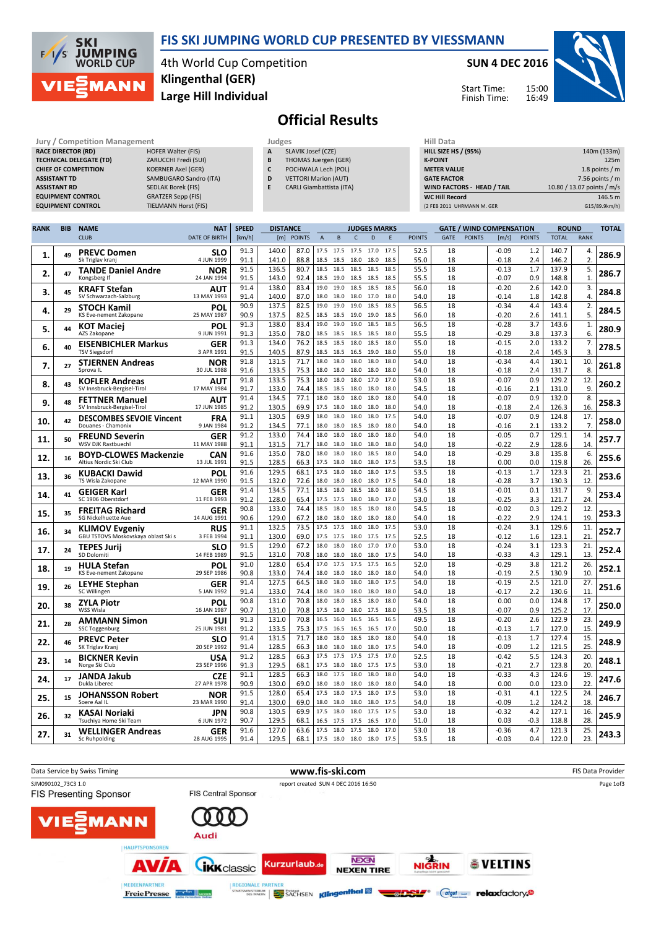#### FIS SKI JUMPING WORLD CUP PRESENTED BY VIESSMANN



4th World Cup Competition Large Hill Individual Klingenthal (GER)

#### SUN 4 DEC 2016





## Official Results

| Jury / Competition Management  |                           |   | Judges                          | Hill Data                         |                            |  |  |  |
|--------------------------------|---------------------------|---|---------------------------------|-----------------------------------|----------------------------|--|--|--|
| <b>RACE DIRECTOR (RD)</b>      | <b>HOFER Walter (FIS)</b> | A | SLAVIK Josef (CZE)              | <b>HILL SIZE HS / (95%)</b>       | 140m (133m)                |  |  |  |
| <b>TECHNICAL DELEGATE (TD)</b> | ZARUCCHI Fredi (SUI)      | B | THOMAS Juergen (GER)            | <b>K-POINT</b>                    | 125m                       |  |  |  |
| <b>CHIEF OF COMPETITION</b>    | <b>KOERNER Axel (GER)</b> | C | POCHWALA Lech (POL)             | <b>METER VALUE</b>                | 1.8 points $/m$            |  |  |  |
| <b>ASSISTANT TD</b>            | SAMBUGARO Sandro (ITA)    | D | <b>VETTORI Marion (AUT)</b>     | <b>GATE FACTOR</b>                | 7.56 points $/m$           |  |  |  |
| <b>ASSISTANT RD</b>            | <b>SEDLAK Borek (FIS)</b> |   | <b>CARLI Giambattista (ITA)</b> | <b>WIND FACTORS - HEAD / TAIL</b> | 10.80 / 13.07 points / m/s |  |  |  |
| <b>EQUIPMENT CONTROL</b>       | <b>GRATZER Sepp (FIS)</b> |   |                                 | <b>WC Hill Record</b>             | 146.5 m                    |  |  |  |
| <b>EQUIPMENT CONTROL</b>       | TIELMANN Horst (FIS)      |   |                                 | (2 FEB 2011 UHRMANN M. GER        | G15/89.9km/h)              |  |  |  |

| <b>RANK</b> | <b>BIB</b> | <b>NAME</b>                                               | <b>NAT</b>                | <b>SPEED</b> | <b>DISTANCE</b> |               |                |                             |              | <b>JUDGES MARKS</b> |              |               |             |               | <b>GATE / WIND COMPENSATION</b> |               | <b>ROUND</b>   |                      | <b>TOTAL</b> |
|-------------|------------|-----------------------------------------------------------|---------------------------|--------------|-----------------|---------------|----------------|-----------------------------|--------------|---------------------|--------------|---------------|-------------|---------------|---------------------------------|---------------|----------------|----------------------|--------------|
|             |            | <b>CLUB</b>                                               | <b>DATE OF BIRTH</b>      | [km/h]       | [m]             | <b>POINTS</b> | $\overline{A}$ | B                           | $\mathsf{C}$ | D                   | F            | <b>POINTS</b> | <b>GATE</b> | <b>POINTS</b> | [m/s]                           | <b>POINTS</b> | <b>TOTAL</b>   | <b>RANK</b>          |              |
| 1.          | 49         | <b>PREVC Domen</b><br>Sk Triglav kranj                    | SLO<br>4 JUN 1999         | 91.3<br>91.1 | 140.0<br>141.0  | 87.0<br>88.8  | 17.5<br>18.5   | 17.5<br>18.5                | 17.5<br>18.0 | 17.0<br>18.0        | 17.5<br>18.5 | 52.5<br>55.0  | 18<br>18    |               | $-0.09$<br>$-0.18$              | 1.2<br>2.4    | 140.7<br>146.2 | 4.<br>$\overline{2}$ | 286.9        |
| 2.          | 47         | <b>TANDE Daniel Andre</b><br>Kongsberg If                 | NOR<br>24 JAN 1994        | 91.5<br>91.5 | 136.5<br>143.0  | 80.7<br>92.4  | 18.5           | 18.5 18.5 18.5<br>19.0      | 18.5         | 18.5<br>18.5        | 18.5<br>18.5 | 55.5<br>55.5  | 18<br>18    |               | $-0.13$<br>$-0.07$              | 1.7<br>0.9    | 137.9<br>148.8 | 5.<br>1.             | 286.7        |
| 3.          | 45         | <b>KRAFT Stefan</b>                                       | AUT                       | 91.4         | 138.0           | 83.4          | 19.0           | 19.0                        | 18.5         | 18.5                | 18.5         | 56.0          | 18          |               | $-0.20$                         | 2.6           | 142.0          | 3.                   | 284.8        |
|             |            | SV Schwarzach-Salzburg                                    | 13 MAY 1993               | 91.4<br>90.9 | 140.0           | 87.0<br>82.5  | 19.0           | 18.0 18.0<br>19.0           | 18.0<br>19.0 | 17.0<br>18.5        | 18.0<br>18.5 | 54.0          | 18<br>18    |               | $-0.14$<br>$-0.34$              | 1.8           | 142.8          | 4.                   |              |
| 4.          | 29         | <b>STOCH Kamil</b><br>KS Eve-nement Zakopane              | POL<br>25 MAY 1987        | 90.9         | 137.5<br>137.5  | 82.5          | 18.5           | 18.5                        | 19.0         | 19.0                | 18.5         | 56.5<br>56.0  | 18          |               | $-0.20$                         | 4.4<br>2.6    | 143.4<br>141.1 | 2.<br>5.             | 284.5        |
| 5.          | 44         | <b>KOT Maciej</b><br>AZS Zakopane                         | POL<br>9 JUN 1991         | 91.3<br>91.3 | 138.0<br>135.0  | 83.4<br>78.0  | 18.5           | 19.0 19.0<br>18.5           | 19.0<br>18.5 | 18.5<br>18.5        | 18.5<br>18.0 | 56.5<br>55.5  | 18<br>18    |               | $-0.28$<br>$-0.29$              | 3.7<br>3.8    | 143.6<br>137.3 | 1.<br>6.             | 280.9        |
| 6.          | 40         | <b>EISENBICHLER Markus</b>                                | <b>GER</b>                | 91.3         | 134.0           | 76.2          | 18.5           | 18.5                        | 18.0         | 18.5                | 18.0         | 55.0          | 18          |               | $-0.15$                         | 2.0           | 133.2          | 7.                   | 278.5        |
|             |            | <b>TSV Siegsdorf</b>                                      | 3 APR 1991<br><b>NOR</b>  | 91.5<br>91.8 | 140.5<br>131.5  | 87.9<br>71.7  | 18.0           | 18.5 18.5<br>18.0           | 16.5<br>18.0 | 19.0<br>18.0        | 18.0<br>18.0 | 55.0<br>54.0  | 18<br>18    |               | -0.18<br>$-0.34$                | 2.4<br>4.4    | 145.3<br>130.1 | 3<br>10.             |              |
| 7.          | 27         | <b>STJERNEN Andreas</b><br>Sprova IL                      | 30 JUL 1988               | 91.6         | 133.5           | 75.3          | 18.0           | 18.0                        | 18.0         | 18.0                | 18.0         | 54.0          | 18          |               | $-0.18$                         | 2.4           | 131.7          | 8                    | 261.8        |
| 8.          | 43         | <b>KOFLER Andreas</b><br>SV Innsbruck-Bergisel-Tirol      | AUT<br>17 MAY 1984        | 91.8<br>91.7 | 133.5<br>133.0  | 75.3<br>74.4  | 18.0<br>18.5   | 18.0<br>18.5                | 18.0<br>18.0 | 17.0<br>18.0        | 17.0<br>18.0 | 53.0<br>54.5  | 18<br>18    |               | $-0.07$<br>$-0.16$              | 0.9<br>2.1    | 129.2<br>131.0 | 12.<br>9.            | 260.2        |
| 9.          | 48         | <b>FETTNER Manuel</b>                                     | AUT                       | 91.4         | 134.5           | 77.1          | 18.0           | 18.0                        | 18.0         | 18.0                | 18.0         | 54.0          | 18          |               | $-0.07$                         | 0.9           | 132.0          | 8.                   | 258.3        |
|             |            | SV Innsbruck-Bergisel-Tirol                               | 17 JUN 1985               | 91.2         | 130.5           | 69.9          | 17.5           | 18.0                        | 18.0         | 18.0                | 18.0         | 54.0          | 18          |               | -0.18                           | 2.4           | 126.3          | 16                   |              |
| 10.         | 42         | <b>DESCOMBES SEVOIE Vincent</b><br>Douanes - Chamonix     | <b>FRA</b><br>9 JAN 1984  | 91.1<br>91.2 | 130.5<br>134.5  | 69.9<br>77.1  | 18.0           | 18.0<br>18.0 18.0           | 18.0<br>18.5 | 18.0<br>18.0        | 17.5<br>18.0 | 54.0<br>54.0  | 18<br>18    |               | $-0.07$<br>$-0.16$              | 0.9<br>2.1    | 124.8<br>133.2 | 17.<br>7.            | 258.0        |
| 11.         | 50         | <b>FREUND Severin</b>                                     | <b>GER</b>                | 91.2         | 133.0           | 74.4          |                | 18.0 18.0                   | 18.0         | 18.0                | 18.0         | 54.0          | 18          |               | $-0.05$                         | 0.7           | 129.1          | 14.                  | 257.7        |
|             |            | WSV DJK Rastbuechl                                        | 11 MAY 1988<br><b>CAN</b> | 91.1<br>91.6 | 131.5<br>135.0  | 71.7<br>78.0  | 18.0           | 18.0<br>18.0 18.0           | 18.0<br>18.0 | 18.0<br>18.5        | 18.0<br>18.0 | 54.0<br>54.0  | 18<br>18    |               | $-0.22$<br>$-0.29$              | 2.9<br>3.8    | 128.6<br>135.8 | 14.<br>6.            |              |
| 12.         | 16         | <b>BOYD-CLOWES Mackenzie</b><br>Altius Nordic Ski Club    | 13 JUL 1991               | 91.5         | 128.5           | 66.3          |                | 17.5 18.0                   | 18.0         | 18.0                | 17.5         | 53.5          | 18          |               | 0.00                            | 0.0           | 119.8          | 26                   | 255.6        |
| 13.         | 36         | <b>KUBACKI Dawid</b><br>TS Wisla Zakopane                 | POL<br>12 MAR 1990        | 91.6<br>91.5 | 129.5<br>132.0  | 68.1<br>72.6  | 17.5           | 18.0<br>18.0 18.0           | 18.0<br>18.0 | 18.0<br>18.0        | 17.5<br>17.5 | 53.5<br>54.0  | 18<br>18    |               | $-0.13$<br>$-0.28$              | 1.7<br>3.7    | 123.3<br>130.3 | 21<br>12             | 253.6        |
| 14.         | 41         | GEIGER Karl                                               | <b>GER</b>                | 91.4         | 134.5           | 77.1          | 18.5           | 18.0                        | 18.5         | 18.0                | 18.0         | 54.5          | 18          |               | $-0.01$                         | 0.1           | 131.7          | 9.                   | 253.4        |
|             |            | SC 1906 Oberstdorf                                        | 11 FEB 1993               | 91.2         | 128.0           | 65.4          | 17.5<br>18.5   | 17.5<br>18.0                | 18.0<br>18.5 | 18.0<br>18.0        | 17.0<br>18.0 | 53.0          | 18          |               | $-0.25$                         | 3.3           | 121.7          | 24                   |              |
| 15.         | 35         | <b>FREITAG Richard</b><br><b>SG Nickelhuette Aue</b>      | <b>GER</b><br>14 AUG 1991 | 90.8<br>90.6 | 133.0<br>129.0  | 74.4<br>67.2  |                | 18.0 18.0                   | 18.0         | 18.0                | 18.0         | 54.5<br>54.0  | 18<br>18    |               | $-0.02$<br>$-0.22$              | 0.3<br>2.9    | 129.2<br>124.1 | 12.<br>19            | 253.3        |
| 16.         | 34         | <b>KLIMOV Evgeniy</b>                                     | <b>RUS</b>                | 91.1         | 132.5           | 73.5          | 17.5           | 17.5                        | 18.0         | 18.0                | 17.5         | 53.0          | 18          |               | $-0.24$                         | 3.1           | 129.6          | 11.<br>21            | 252.7        |
|             |            | GBU TSTOVS Moskovskaya oblast Ski s<br><b>TEPES Jurij</b> | 3 FEB 1994<br>SLO         | 91.1<br>91.5 | 130.0<br>129.0  | 69.0<br>67.2  | 18.0           | 17.5 17.5<br>18.0           | 18.0<br>18.0 | 17.5<br>17.0        | 17.5<br>17.0 | 52.5<br>53.0  | 18<br>18    |               | -0.12<br>$-0.24$                | 1.6<br>3.1    | 123.1<br>123.3 | 21                   |              |
| 17.         | 24         | SD Dolomiti                                               | 14 FEB 1989               | 91.5         | 131.0           | 70.8          | 18.0           | 18.0                        | 18.0         | 18.0                | 17.5         | 54.0          | 18          |               | $-0.33$                         | 4.3           | 129.1          | 13                   | 252.4        |
| 18.         | 19         | <b>HULA Stefan</b><br>KS Eve-nement Zakopane              | POL<br>29 SEP 1986        | 91.0<br>90.8 | 128.0<br>133.0  | 65.4<br>74.4  |                | 17.0 17.5 17.5<br>18.0 18.0 | 18.0         | 17.5<br>18.0        | 16.5<br>18.0 | 52.0<br>54.0  | 18<br>18    |               | $-0.29$<br>$-0.19$              | 3.8<br>2.5    | 121.2<br>130.9 | 26<br>10             | 252.1        |
| 19.         | 26         | <b>LEYHE Stephan</b>                                      | <b>GER</b>                | 91.4         | 127.5           | 64.5          | 18.0           | 18.0                        | 18.0         | 18.0                | 17.5         | 54.0          | 18          |               | $-0.19$                         | 2.5           | 121.0          | 27.                  | 251.6        |
|             |            | SC Willingen                                              | 5 JAN 1992                | 91.4<br>90.8 | 133.0<br>131.0  | 74.4<br>70.8  | 18.0<br>18.0   | 18.0<br>18.0                | 18.0<br>18.5 | 18.0<br>18.0        | 18.0<br>18.0 | 54.0<br>54.0  | 18<br>18    |               | $-0.17$<br>0.00                 | 2.2<br>0.0    | 130.6<br>124.8 | 11<br>17.            |              |
| 20.         | 38         | <b>ZYLA Piotr</b><br>WSS Wisla                            | POL<br>16 JAN 1987        | 90.7         | 131.0           | 70.8          | 17.5           | 18.0                        | 18.0         | 17.5                | 18.0         | 53.5          | 18          |               | $-0.07$                         | 0.9           | 125.2          | 17                   | 250.0        |
| 21.         | 28         | <b>AMMANN Simon</b><br><b>SSC Toggenburg</b>              | SUI<br>25 JUN 1981        | 91.3<br>91.2 | 131.0<br>133.5  | 70.8<br>75.3  | 16.5           | 16.0<br>17.5 16.5           | 16.5<br>16.5 | 16.5<br>16.5        | 16.5<br>17.0 | 49.5<br>50.0  | 18<br>18    |               | $-0.20$<br>$-0.13$              | 2.6<br>1.7    | 122.9<br>127.0 | 23.<br>15            | 249.9        |
|             | 46         | <b>PREVC Peter</b>                                        | SLO                       | 91.4         | 131.5           | 71.7          | 18.0           | 18.0                        | 18.5         | 18.0                | 18.0         | 54.0          | 18          |               | $-0.13$                         | 1.7           | 127.4          | 15                   |              |
| 22.         |            | SK Triglav Kranj                                          | 20 SEP 1992               | 91.4         | 128.5           | 66.3          | 18.0           | 18.0                        | 18.0         | 18.0                | 17.5         | 54.0          | 18          |               | $-0.09$                         | 1.2           | 121.5          | 25                   | 248.9        |
| 23.         | 14         | <b>BICKNER Kevin</b><br>Norge Ski Club                    | <b>USA</b><br>23 SEP 1996 | 91.2<br>91.3 | 128.5<br>129.5  | 66.3<br>68.1  | 17.5<br>17.5   | 17.5<br>18.0                | 17.5<br>18.0 | 17.5<br>17.5        | 17.0<br>17.5 | 52.5<br>53.0  | 18<br>18    |               | $-0.42$<br>$-0.21$              | 5.5<br>2.7    | 124.3<br>123.8 | 20<br>20             | 248.1        |
| 24.         | 17         | <b>JANDA Jakub</b>                                        | <b>CZE</b>                | 91.1         | 128.5           | 66.3          | 18.0           | 17.5                        | 18.0         | 18.0                | 18.0         | 54.0          | 18          |               | $-0.33$                         | 4.3           | 124.6          | 19.                  | 247.6        |
|             |            | Dukla Liberec                                             | 27 APR 1978               | 90.9<br>91.5 | 130.0<br>128.0  | 69.0<br>65.4  | 17.5           | 18.0 18.0<br>18.0           | 18.0<br>17.5 | 18.0<br>18.0        | 18.0<br>17.5 | 54.0<br>53.0  | 18<br>18    |               | 0.00<br>$-0.31$                 | 0.0<br>4.1    | 123.0<br>122.5 | 22<br>24             |              |
| 25.         | 15         | <b>JOHANSSON Robert</b><br>Soere Aal IL                   | <b>NOR</b><br>23 MAR 1990 | 91.4         | 130.0           | 69.0          | 18.0           | 18.0                        | 18.0         | 18.0                | 17.5         | 54.0          | 18          |               | $-0.09$                         | 1.2           | 124.2          | 18                   | 246.7        |
| 26.         | 32         | KASAI Noriaki<br>Tsuchiya Home Ski Team                   | JPN<br>6 JUN 1972         | 90.8<br>90.7 | 130.5<br>129.5  | 69.9<br>68.1  | 17.5<br>16.5   | 18.0<br>17.5                | 18.0<br>17.5 | 17.5<br>16.5        | 17.5<br>17.0 | 53.0<br>51.0  | 18<br>18    |               | $-0.32$<br>0.03                 | 4.2<br>$-0.3$ | 127.1<br>118.8 | 16<br>28             | 245.9        |
|             |            | <b>WELLINGER Andreas</b>                                  | <b>GER</b>                | 91.6         | 127.0           | 63.6          | 17.5           | 18.0                        | 17.5         | 18.0                | 17.0         | 53.0          | 18          |               | $-0.36$                         | 4.7           | 121.3          | 25.                  |              |
| 27.         | 31         | Sc Ruhpolding                                             | 28 AUG 1995               | 91.4         | 129.5           | 68.1          |                | 17.5 18.0                   | 18.0         | 18.0                | 17.5         | 53.5          | 18          |               | $-0.03$                         | 0.4           | 122.0          | 23.                  | 243.3        |

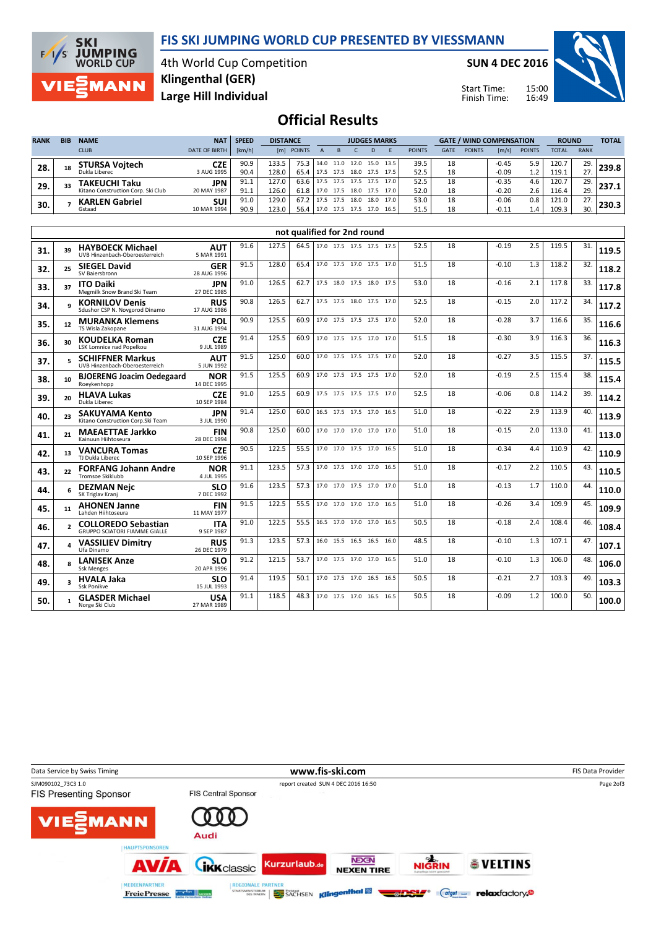#### FIS SKI JUMPING WORLD CUP PRESENTED BY VIESSMANN



4th World Cup Competition Large Hill Individual Klingenthal (GER)

SUN 4 DEC 2016

Start Time: Finish Time:



### Official Results

| <b>RANK</b> | <b>BIB</b> | <b>NAME</b>                        | <b>NAT</b>           | <b>SPEED</b> |       | <b>DISTANCE</b> |      |                | <b>JUDGES MARKS</b> |      |           |               |             | <b>GATE / WIND COMPENSATION</b> |         |               |              | <b>ROUND</b> |  |
|-------------|------------|------------------------------------|----------------------|--------------|-------|-----------------|------|----------------|---------------------|------|-----------|---------------|-------------|---------------------------------|---------|---------------|--------------|--------------|--|
|             |            | <b>CLUB</b>                        | <b>DATE OF BIRTH</b> | [km/h]       | [ml]  | <b>POINTS</b>   |      |                |                     |      |           | <b>POINTS</b> | <b>GATE</b> | <b>POINTS</b>                   | [m/s]   | <b>POINTS</b> | <b>TOTAL</b> | <b>RANK</b>  |  |
| 28.         | 18         | <b>STURSA Vojtech</b>              | CZE                  | 90.9         | 133.5 | 75.3            |      | 14.0 11.0 12.0 |                     |      | 15.0 13.5 | 39.5          | 18          |                                 | $-0.45$ | 5.9           | 120.7        | 29.          |  |
|             |            | Dukla Liberec                      | 3 AUG 1995           | 90.4         | 128.0 | 65.4            | 17.5 | 17.5 18.0      |                     |      | 17.5 17.5 | 52.5          | 18          |                                 | $-0.09$ | 1.2           | 119.1        |              |  |
| 29.         | 33         | TAKEUCHI Taku                      | <b>JPN</b>           | 91.1         | 127.0 | 63.6            | 17.5 | 17.5           | 17.5                | 17.5 | 17.0 l    | 52.5          | 18          |                                 | $-0.35$ | 4.6           | 120.7        | 29.          |  |
|             |            | Kitano Construction Corp. Ski Club | 20 MAY 1987          | 91.1         | 126.0 | 61.8            |      | 17.0 17.5 18.0 |                     |      | 17.5 17.0 | 52.0          | 18          |                                 | $-0.20$ | 2.6           | 116.4        | 29.          |  |
| 30.         |            | <b>KARLEN Gabriel</b>              | <b>SUI</b>           | 91.0         | 129.0 | 67.2            |      |                | 18.0                | 18.0 | 17.0 l    | 53.0          | 18          |                                 | $-0.06$ | 0.8           | 121.0        | 77           |  |
|             |            | Gstaad                             | 10 MAR 1994          | 90.9         | 123.0 | 56.4            | 17.0 | 17.5 17.5      |                     | 17.0 | 16.5      | 51.5          | 18          |                                 | $-0.11$ | 1.4           | 109.3        | 30.          |  |

|     |    |                                                                    |                           |      |       | not qualified for 2nd round |                          |  |      |      |    |         |     |       |     |       |
|-----|----|--------------------------------------------------------------------|---------------------------|------|-------|-----------------------------|--------------------------|--|------|------|----|---------|-----|-------|-----|-------|
| 31. | 39 | <b>HAYBOECK Michael</b><br>UVB Hinzenbach-Oberoesterreich          | <b>AUT</b><br>5 MAR 1991  | 91.6 | 127.5 | 64.5                        | 17.0 17.5 17.5 17.5 17.5 |  |      | 52.5 | 18 | $-0.19$ | 2.5 | 119.5 | 31. | 119.5 |
| 32. | 25 | <b>SIEGEL David</b><br>SV Baiersbronn                              | <b>GER</b><br>28 AUG 1996 | 91.5 | 128.0 | 65.4                        | 17.0 17.5 17.0 17.5 17.0 |  |      | 51.5 | 18 | $-0.10$ | 1.3 | 118.2 | 32. | 118.2 |
| 33. | 37 | <b>ITO Daiki</b><br>Megmilk Snow Brand Ski Team                    | <b>JPN</b><br>27 DEC 1985 | 91.0 | 126.5 | 62.7                        | 17.5 18.0 17.5 18.0      |  | 17.5 | 53.0 | 18 | $-0.16$ | 2.1 | 117.8 | 33. | 117.8 |
| 34. |    | <b>KORNILOV Denis</b><br>Sdushor CSP N. Novgorod Dinamo            | <b>RUS</b><br>17 AUG 1986 | 90.8 | 126.5 | 62.7                        | 17.5 17.5 18.0 17.5 17.0 |  |      | 52.5 | 18 | $-0.15$ | 2.0 | 117.2 | 34. | 117.2 |
| 35. | 12 | <b>MURANKA Klemens</b><br>TS Wisla Zakopane                        | POL<br>31 AUG 1994        | 90.9 | 125.5 | 60.9                        | 17.0 17.5 17.5 17.5 17.0 |  |      | 52.0 | 18 | $-0.28$ | 3.7 | 116.6 | 35. | 116.6 |
| 36. | 30 | <b>KOUDELKA Roman</b><br>LSK Lomnice nad Popelkou                  | <b>CZE</b><br>9 JUL 1989  | 91.4 | 125.5 | 60.9                        | 17.0 17.5 17.5 17.0 17.0 |  |      | 51.5 | 18 | $-0.30$ | 3.9 | 116.3 | 36. | 116.3 |
| 37. |    | <b>SCHIFFNER Markus</b><br>UVB Hinzenbach-Oberoesterreich          | <b>AUT</b><br>5 JUN 1992  | 91.5 | 125.0 | 60.0                        | 17.0 17.5 17.5 17.5 17.0 |  |      | 52.0 | 18 | $-0.27$ | 3.5 | 115.5 | 37. | 115.5 |
| 38. | 10 | <b>BJOERENG Joacim Oedegaard</b><br>Roeykenhopp                    | <b>NOR</b><br>14 DEC 1995 | 91.5 | 125.5 | 60.9                        | 17.0 17.5 17.5 17.5 17.0 |  |      | 52.0 | 18 | $-0.19$ | 2.5 | 115.4 | 38. | 115.4 |
| 39. | 20 | <b>HLAVA Lukas</b><br>Dukla Liberec                                | <b>CZE</b><br>10 SEP 1984 | 91.0 | 125.5 | 60.9                        | 17.5 17.5 17.5 17.5 17.0 |  |      | 52.5 | 18 | $-0.06$ | 0.8 | 114.2 | 39. | 114.2 |
| 40. | 23 | <b>SAKUYAMA Kento</b><br>Kitano Construction Corp.Ski Team         | <b>JPN</b><br>3 JUL 1990  | 91.4 | 125.0 | 60.0                        | 16.5 17.5 17.5 17.0      |  | 16.5 | 51.0 | 18 | $-0.22$ | 2.9 | 113.9 | 40. | 113.9 |
| 41. | 21 | <b>MAEAETTAE Jarkko</b><br>Kainuun Hiihtoseura                     | <b>FIN</b><br>28 DEC 1994 | 90.8 | 125.0 | 60.0                        | 17.0 17.0 17.0 17.0 17.0 |  |      | 51.0 | 18 | $-0.15$ | 2.0 | 113.0 | 41. | 113.0 |
| 42. | 13 | <b>VANCURA Tomas</b><br>TJ Dukla Liberec                           | <b>CZE</b><br>10 SEP 1996 | 90.5 | 122.5 | 55.5                        | 17.0 17.0 17.5 17.0 16.5 |  |      | 51.0 | 18 | $-0.34$ | 4.4 | 110.9 | 42. | 110.9 |
| 43. | 22 | <b>FORFANG Johann Andre</b><br>Tromsoe Skiklubb                    | <b>NOR</b><br>4 JUL 1995  | 91.1 | 123.5 | 57.3                        | 17.0 17.5 17.0 17.0      |  | 16.5 | 51.0 | 18 | $-0.17$ | 2.2 | 110.5 | 43. | 110.5 |
| 44. |    | <b>DEZMAN Neic</b><br>SK Triglav Kranj                             | <b>SLO</b><br>7 DEC 1992  | 91.6 | 123.5 | 57.3                        | 17.0 17.0 17.5 17.0 17.0 |  |      | 51.0 | 18 | $-0.13$ | 1.7 | 110.0 | 44. | 110.0 |
| 45. | 11 | <b>AHONEN Janne</b><br>Lahden Hiihtoseura                          | <b>FIN</b><br>11 MAY 1977 | 91.5 | 122.5 | 55.5                        | 17.0 17.0 17.0 17.0 16.5 |  |      | 51.0 | 18 | $-0.26$ | 3.4 | 109.9 | 45. | 109.9 |
| 46. |    | <b>COLLOREDO Sebastian</b><br><b>GRUPPO SCIATORI FIAMME GIALLE</b> | <b>ITA</b><br>9 SEP 1987  | 91.0 | 122.5 | 55.5                        | 16.5 17.0 17.0 17.0 16.5 |  |      | 50.5 | 18 | $-0.18$ | 2.4 | 108.4 | 46. | 108.4 |
| 47. | Δ  | <b>VASSILIEV Dimitry</b><br>Ufa Dinamo                             | <b>RUS</b><br>26 DEC 1979 | 91.3 | 123.5 | 57.3                        | 16.0 15.5 16.5 16.5 16.0 |  |      | 48.5 | 18 | $-0.10$ | 1.3 | 107.1 | 47. | 107.1 |
| 48. |    | <b>LANISEK Anze</b><br><b>Ssk Menges</b>                           | <b>SLO</b><br>20 APR 1996 | 91.2 | 121.5 | 53.7                        | 17.0 17.5 17.0 17.0      |  | 16.5 | 51.0 | 18 | $-0.10$ | 1.3 | 106.0 | 48. | 106.0 |
| 49. |    | <b>HVALA Jaka</b><br>Ssk Ponikve                                   | <b>SLO</b><br>15 JUL 1993 | 91.4 | 119.5 | 50.1                        | 17.0 17.5 17.0 16.5 16.5 |  |      | 50.5 | 18 | $-0.21$ | 2.7 | 103.3 | 49. | 103.3 |
| 50. |    | <b>GLASDER Michael</b><br>Norge Ski Club                           | <b>USA</b><br>27 MAR 1989 | 91.1 | 118.5 | 48.3                        | 17.0 17.5 17.0 16.5 16.5 |  |      | 50.5 | 18 | $-0.09$ | 1.2 | 100.0 | 50. | 100.0 |